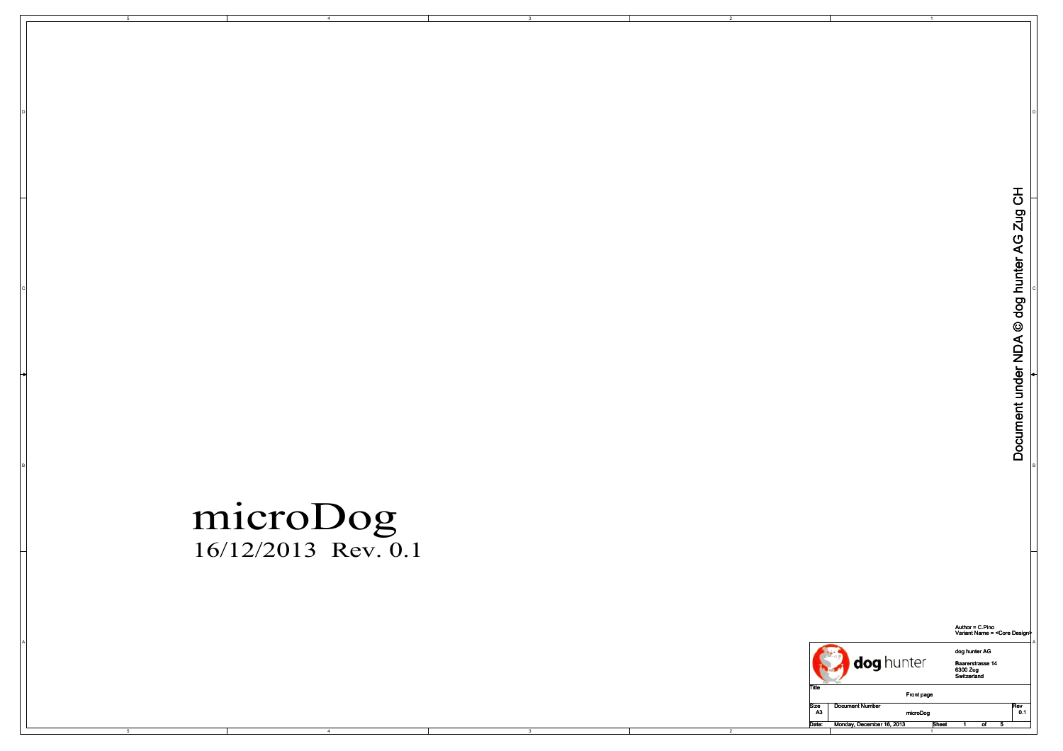

B

A

DI<br>Di

BI<br>Bi

4

Author = C.Pino Variant Name = <Core Design>



2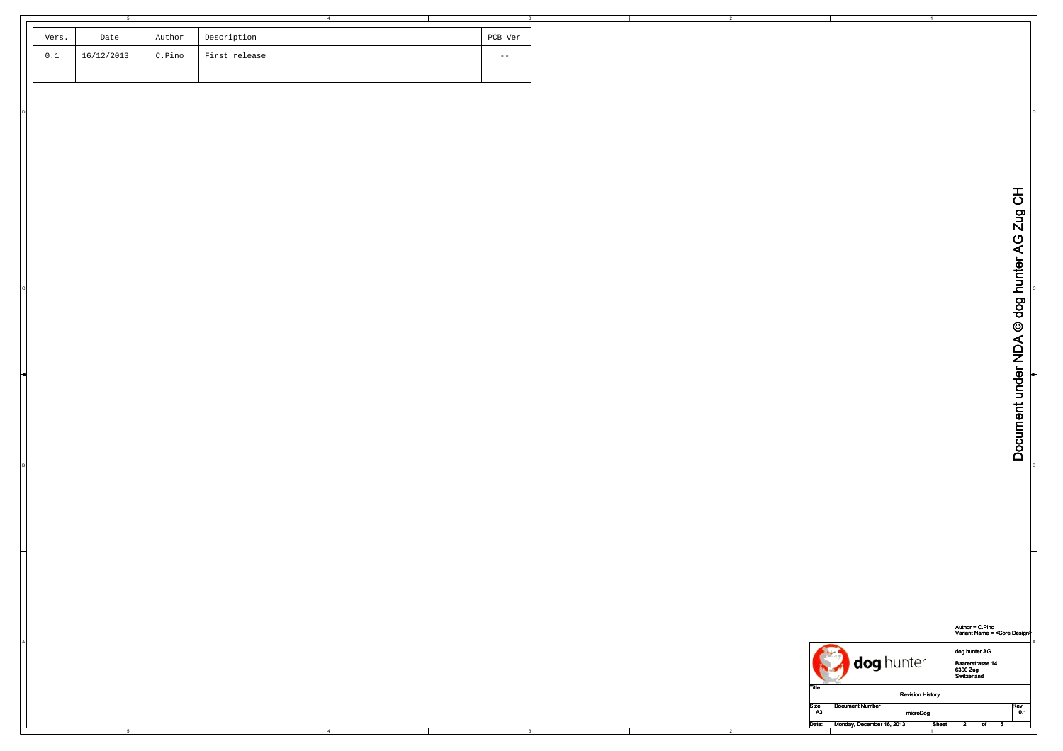| Vers. | Date       | Author | Description   | PCB Ver |
|-------|------------|--------|---------------|---------|
| 0.1   | 16/12/2013 | C.Pino | First release | $ -$    |
|       |            |        |               |         |

B

DI<br>Di

4

Author = C.Pino Variant Name = <Core Design>

|  |                        | intor<br>וטוונגו                   | dog hunter AG<br>Baarerstrasse 14<br>6300 Zug<br>Switzerland |
|--|------------------------|------------------------------------|--------------------------------------------------------------|
|  | ı ıue                  | <b>Revision History</b>            |                                                              |
|  | Size<br>A <sub>3</sub> | <b>Document Number</b><br>microDog | Rev<br>v. 1                                                  |
|  | Date:                  | Monday, December 16, 2013<br>Sheet |                                                              |

2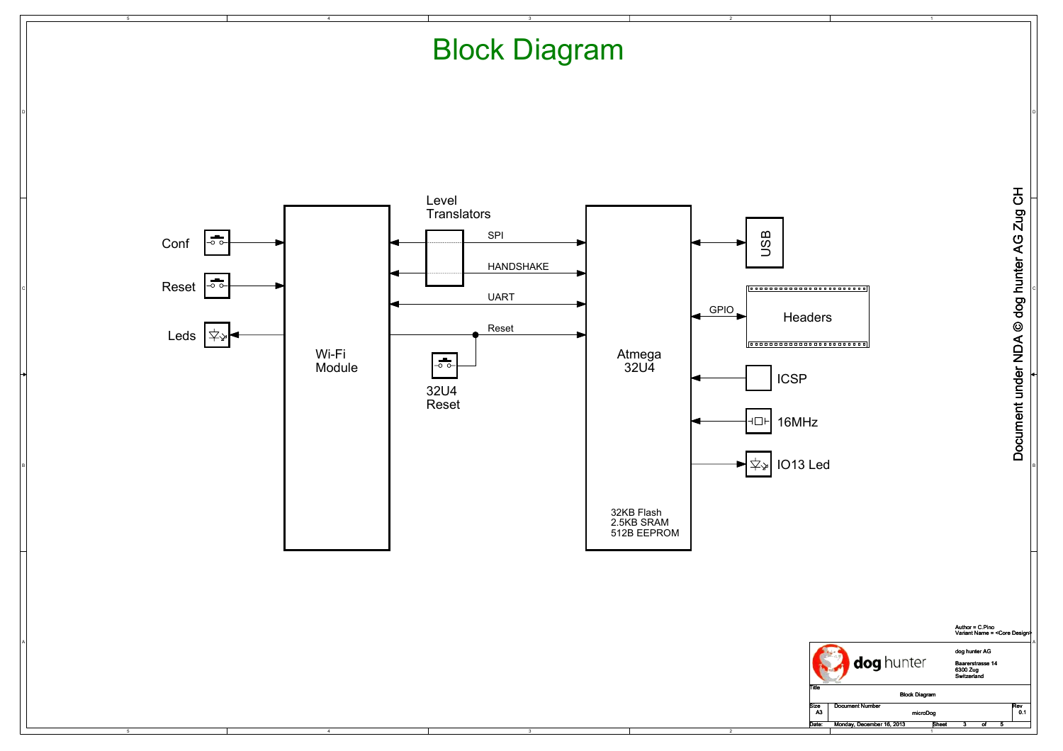## Block Diagram

DI<br>Di



B

A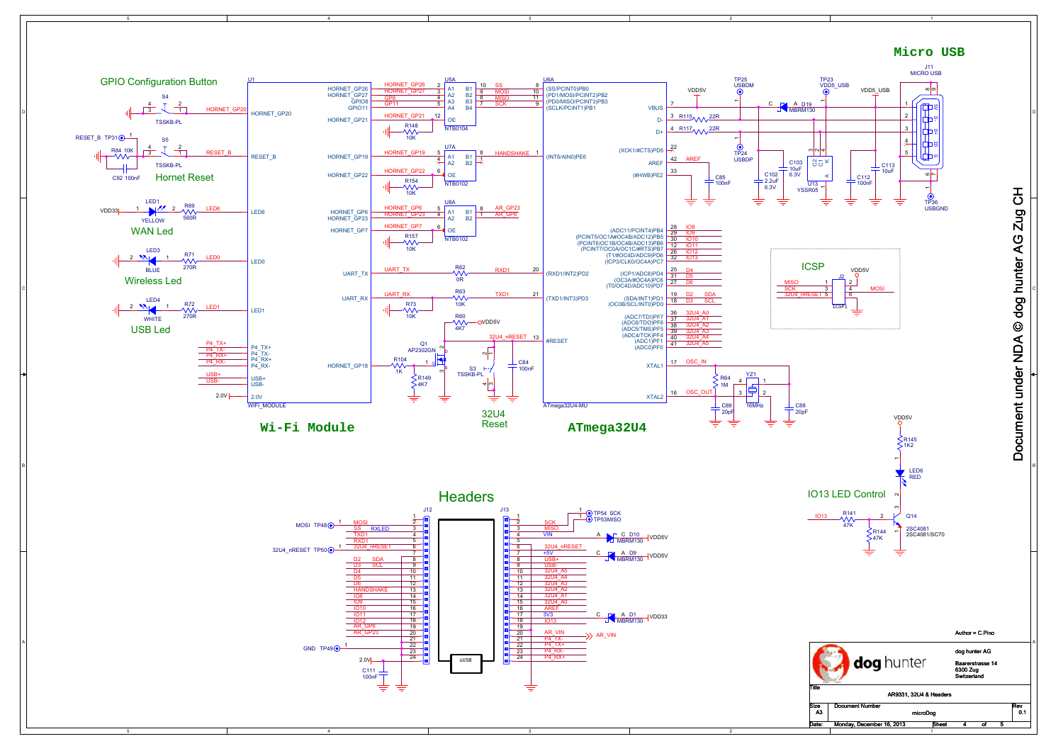